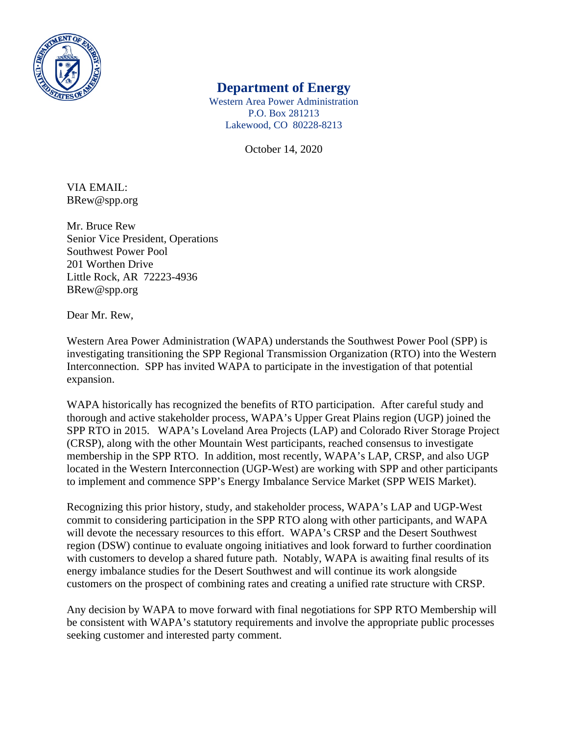

## **Department of Energy**

Western Area Power Administration P.O. Box 281213 Lakewood, CO 80228-8213

October 14, 2020

VIA EMAIL: BRew@spp.org

Mr. Bruce Rew Senior Vice President, Operations Southwest Power Pool 201 Worthen Drive Little Rock, AR 72223-4936 BRew@spp.org

Dear Mr. Rew,

Western Area Power Administration (WAPA) understands the Southwest Power Pool (SPP) is investigating transitioning the SPP Regional Transmission Organization (RTO) into the Western Interconnection. SPP has invited WAPA to participate in the investigation of that potential expansion.

WAPA historically has recognized the benefits of RTO participation. After careful study and thorough and active stakeholder process, WAPA's Upper Great Plains region (UGP) joined the SPP RTO in 2015. WAPA's Loveland Area Projects (LAP) and Colorado River Storage Project (CRSP), along with the other Mountain West participants, reached consensus to investigate membership in the SPP RTO. In addition, most recently, WAPA's LAP, CRSP, and also UGP located in the Western Interconnection (UGP-West) are working with SPP and other participants to implement and commence SPP's Energy Imbalance Service Market (SPP WEIS Market).

Recognizing this prior history, study, and stakeholder process, WAPA's LAP and UGP-West commit to considering participation in the SPP RTO along with other participants, and WAPA will devote the necessary resources to this effort. WAPA's CRSP and the Desert Southwest region (DSW) continue to evaluate ongoing initiatives and look forward to further coordination with customers to develop a shared future path. Notably, WAPA is awaiting final results of its energy imbalance studies for the Desert Southwest and will continue its work alongside customers on the prospect of combining rates and creating a unified rate structure with CRSP.

Any decision by WAPA to move forward with final negotiations for SPP RTO Membership will be consistent with WAPA's statutory requirements and involve the appropriate public processes seeking customer and interested party comment.